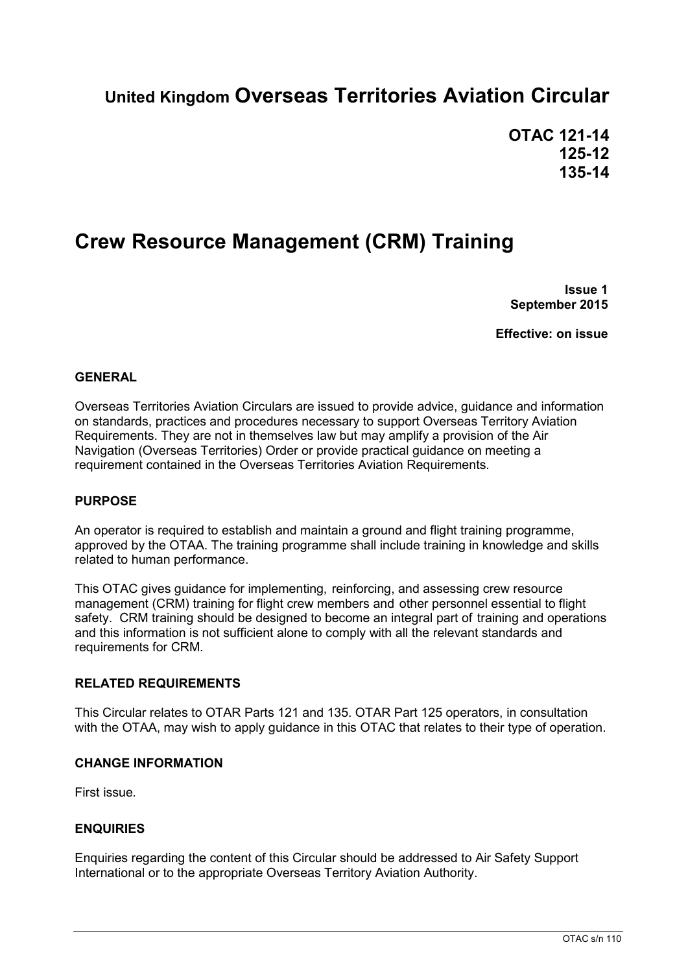# **United Kingdom Overseas Territories Aviation Circular**

**OTAC 121-14 125-12 135-14**

# **Crew Resource Management (CRM) Training**

**Issue 1 September 2015**

**Effective: on issue**

### **GENERAL**

Overseas Territories Aviation Circulars are issued to provide advice, guidance and information on standards, practices and procedures necessary to support Overseas Territory Aviation Requirements. They are not in themselves law but may amplify a provision of the Air Navigation (Overseas Territories) Order or provide practical guidance on meeting a requirement contained in the Overseas Territories Aviation Requirements.

### **PURPOSE**

An operator is required to establish and maintain a ground and flight training programme, approved by the OTAA. The training programme shall include training in knowledge and skills related to human performance.

This OTAC gives guidance for implementing, reinforcing, and assessing crew resource management (CRM) training for flight crew members and other personnel essential to flight safety. CRM training should be designed to become an integral part of training and operations and this information is not sufficient alone to comply with all the relevant standards and requirements for CRM.

### **RELATED REQUIREMENTS**

This Circular relates to OTAR Parts 121 and 135. OTAR Part 125 operators, in consultation with the OTAA, may wish to apply guidance in this OTAC that relates to their type of operation.

### **CHANGE INFORMATION**

First issue*.*

### **ENQUIRIES**

Enquiries regarding the content of this Circular should be addressed to Air Safety Support International or to the appropriate Overseas Territory Aviation Authority.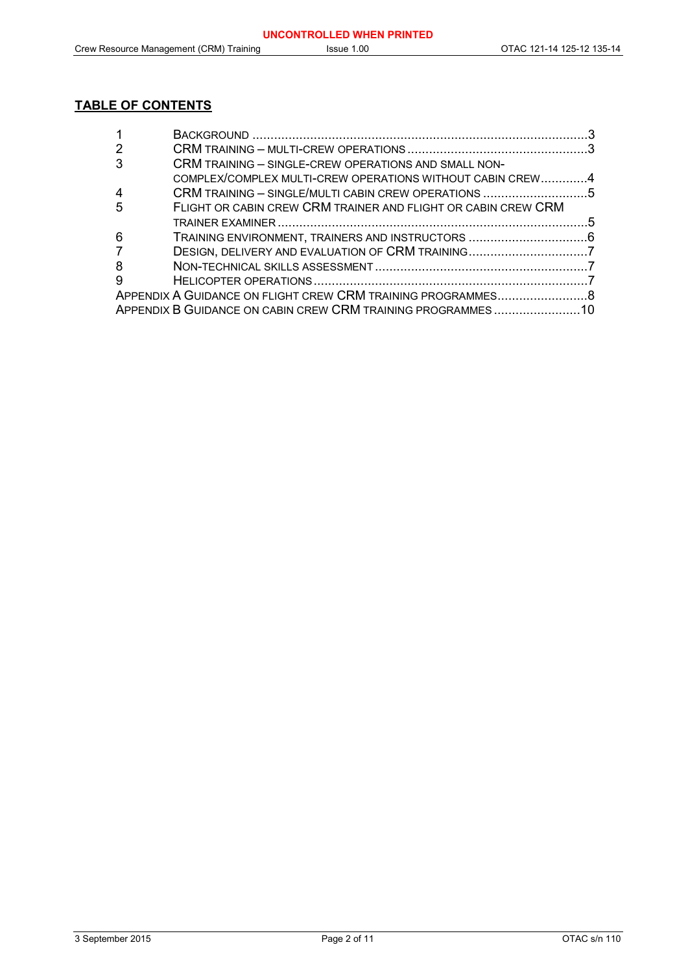### **TABLE OF CONTENTS**

| 2              |                                                               |  |
|----------------|---------------------------------------------------------------|--|
| 3              | CRM TRAINING - SINGLE-CREW OPERATIONS AND SMALL NON-          |  |
|                | COMPLEX/COMPLEX MULTI-CREW OPERATIONS WITHOUT CABIN CREW4     |  |
| $\overline{4}$ | CRM TRAINING - SINGLE/MULTI CABIN CREW OPERATIONS 5           |  |
| 5              | FLIGHT OR CABIN CREW CRM TRAINER AND FLIGHT OR CABIN CREW CRM |  |
|                |                                                               |  |
| 6              |                                                               |  |
| $\overline{7}$ |                                                               |  |
| 8              |                                                               |  |
| -9             |                                                               |  |
|                |                                                               |  |
|                | APPENDIX B GUIDANCE ON CABIN CREW CRM TRAINING PROGRAMMES10   |  |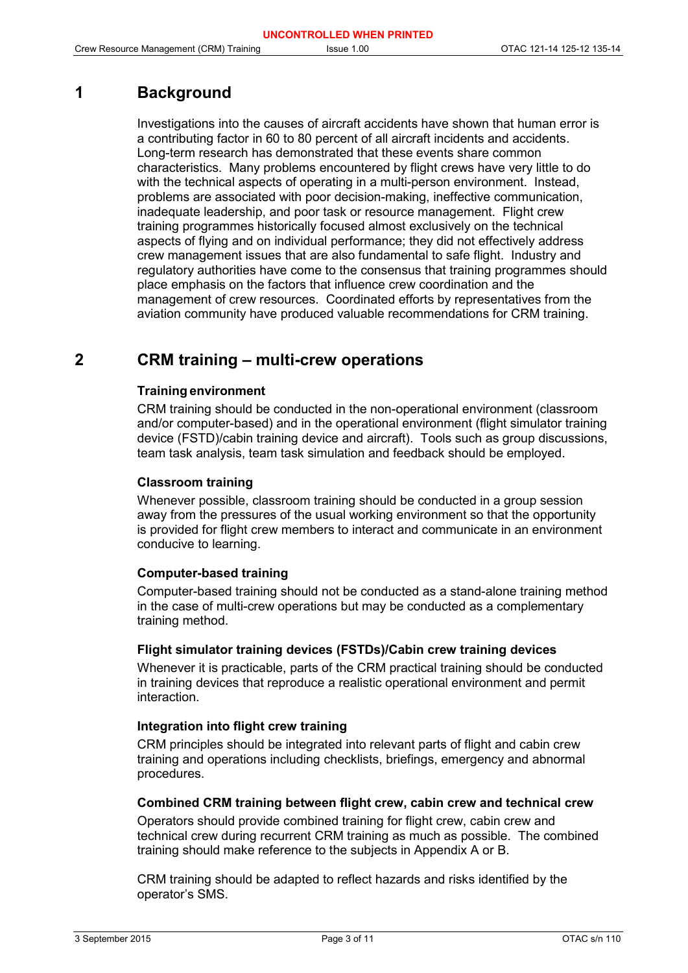### **1 Background**

Investigations into the causes of aircraft accidents have shown that human error is a contributing factor in 60 to 80 percent of all aircraft incidents and accidents. Long-term research has demonstrated that these events share common characteristics. Many problems encountered by flight crews have very little to do with the technical aspects of operating in a multi-person environment. Instead, problems are associated with poor decision-making, ineffective communication, inadequate leadership, and poor task or resource management. Flight crew training programmes historically focused almost exclusively on the technical aspects of flying and on individual performance; they did not effectively address crew management issues that are also fundamental to safe flight. Industry and regulatory authorities have come to the consensus that training programmes should place emphasis on the factors that influence crew coordination and the management of crew resources. Coordinated efforts by representatives from the aviation community have produced valuable recommendations for CRM training.

### **2 CRM training – multi-crew operations**

### **Training environment**

CRM training should be conducted in the non-operational environment (classroom and/or computer-based) and in the operational environment (flight simulator training device (FSTD)/cabin training device and aircraft). Tools such as group discussions, team task analysis, team task simulation and feedback should be employed.

### **Classroom training**

Whenever possible, classroom training should be conducted in a group session away from the pressures of the usual working environment so that the opportunity is provided for flight crew members to interact and communicate in an environment conducive to learning.

### **Computer-based training**

Computer-based training should not be conducted as a stand-alone training method in the case of multi-crew operations but may be conducted as a complementary training method.

### **Flight simulator training devices (FSTDs)/Cabin crew training devices**

Whenever it is practicable, parts of the CRM practical training should be conducted in training devices that reproduce a realistic operational environment and permit interaction.

### **Integration into flight crew training**

CRM principles should be integrated into relevant parts of flight and cabin crew training and operations including checklists, briefings, emergency and abnormal procedures.

### **Combined CRM training between flight crew, cabin crew and technical crew**

Operators should provide combined training for flight crew, cabin crew and technical crew during recurrent CRM training as much as possible. The combined training should make reference to the subjects in Appendix A or B.

CRM training should be adapted to reflect hazards and risks identified by the operator's SMS.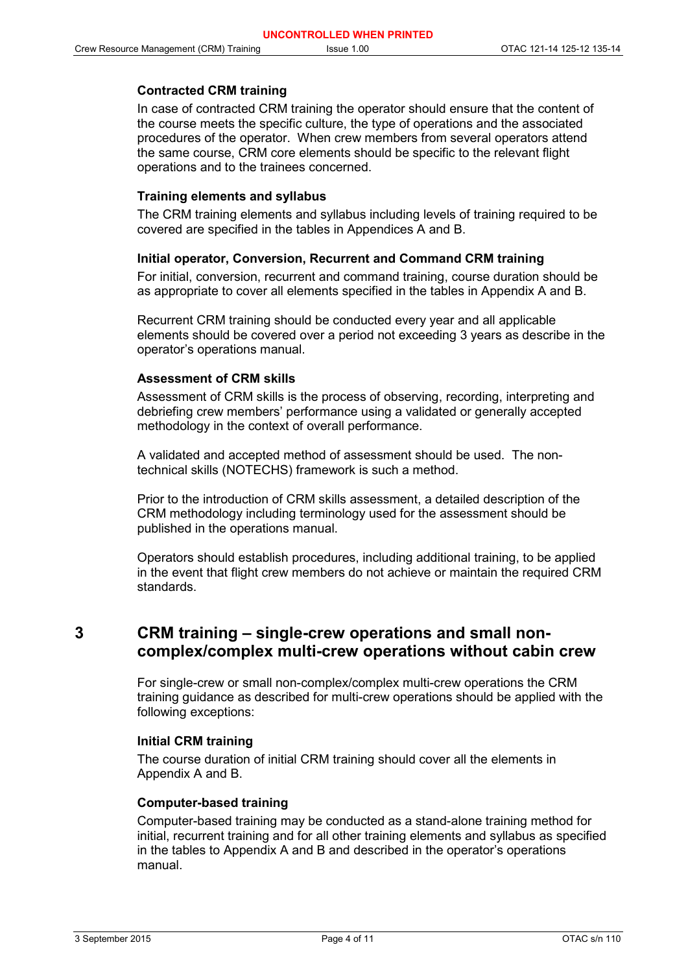### **Contracted CRM training**

In case of contracted CRM training the operator should ensure that the content of the course meets the specific culture, the type of operations and the associated procedures of the operator. When crew members from several operators attend the same course, CRM core elements should be specific to the relevant flight operations and to the trainees concerned.

### **Training elements and syllabus**

The CRM training elements and syllabus including levels of training required to be covered are specified in the tables in Appendices A and B.

### **Initial operator, Conversion, Recurrent and Command CRM training**

For initial, conversion, recurrent and command training, course duration should be as appropriate to cover all elements specified in the tables in Appendix A and B.

Recurrent CRM training should be conducted every year and all applicable elements should be covered over a period not exceeding 3 years as describe in the operator's operations manual.

### **Assessment of CRM skills**

Assessment of CRM skills is the process of observing, recording, interpreting and debriefing crew members' performance using a validated or generally accepted methodology in the context of overall performance.

A validated and accepted method of assessment should be used. The nontechnical skills (NOTECHS) framework is such a method.

Prior to the introduction of CRM skills assessment, a detailed description of the CRM methodology including terminology used for the assessment should be published in the operations manual.

Operators should establish procedures, including additional training, to be applied in the event that flight crew members do not achieve or maintain the required CRM standards.

### **3 CRM training – single-crew operations and small noncomplex/complex multi-crew operations without cabin crew**

For single-crew or small non-complex/complex multi-crew operations the CRM training guidance as described for multi-crew operations should be applied with the following exceptions:

### **Initial CRM training**

The course duration of initial CRM training should cover all the elements in Appendix A and B.

### **Computer-based training**

Computer-based training may be conducted as a stand-alone training method for initial, recurrent training and for all other training elements and syllabus as specified in the tables to Appendix A and B and described in the operator's operations manual.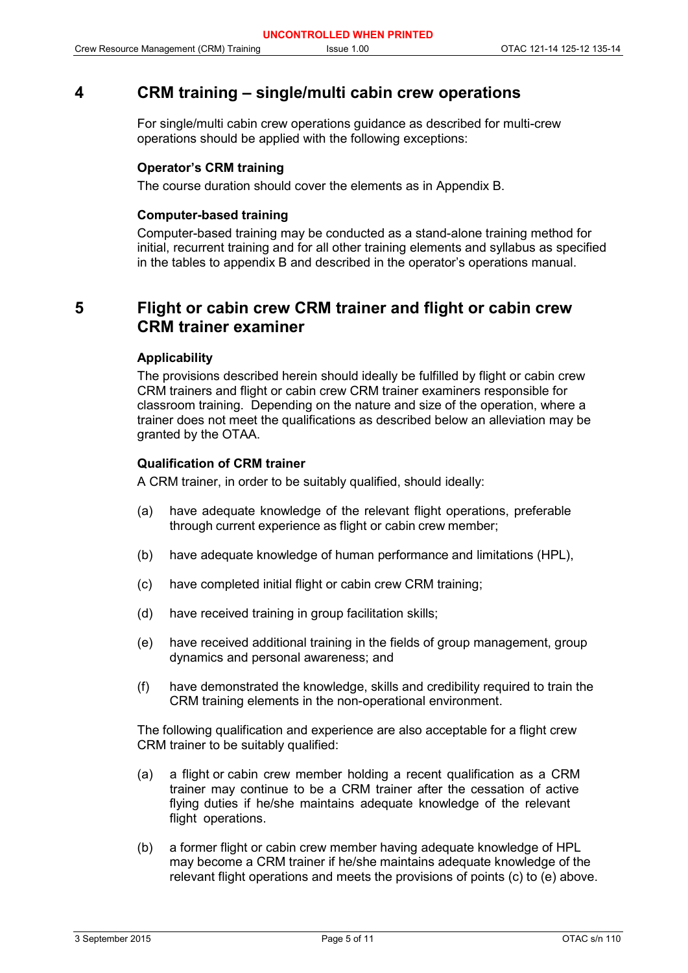### **4 CRM training – single/multi cabin crew operations**

For single/multi cabin crew operations guidance as described for multi-crew operations should be applied with the following exceptions:

### **Operator's CRM training**

The course duration should cover the elements as in Appendix B.

### **Computer-based training**

Computer-based training may be conducted as a stand-alone training method for initial, recurrent training and for all other training elements and syllabus as specified in the tables to appendix B and described in the operator's operations manual.

## **5 Flight or cabin crew CRM trainer and flight or cabin crew CRM trainer examiner**

### **Applicability**

The provisions described herein should ideally be fulfilled by flight or cabin crew CRM trainers and flight or cabin crew CRM trainer examiners responsible for classroom training. Depending on the nature and size of the operation, where a trainer does not meet the qualifications as described below an alleviation may be granted by the OTAA.

### **Qualification of CRM trainer**

A CRM trainer, in order to be suitably qualified, should ideally:

- (a) have adequate knowledge of the relevant flight operations, preferable through current experience as flight or cabin crew member;
- (b) have adequate knowledge of human performance and limitations (HPL),
- (c) have completed initial flight or cabin crew CRM training;
- (d) have received training in group facilitation skills;
- (e) have received additional training in the fields of group management, group dynamics and personal awareness; and
- (f) have demonstrated the knowledge, skills and credibility required to train the CRM training elements in the non-operational environment.

The following qualification and experience are also acceptable for a flight crew CRM trainer to be suitably qualified:

- (a) a flight or cabin crew member holding a recent qualification as a CRM trainer may continue to be a CRM trainer after the cessation of active flying duties if he/she maintains adequate knowledge of the relevant flight operations.
- (b) a former flight or cabin crew member having adequate knowledge of HPL may become a CRM trainer if he/she maintains adequate knowledge of the relevant flight operations and meets the provisions of points (c) to (e) above.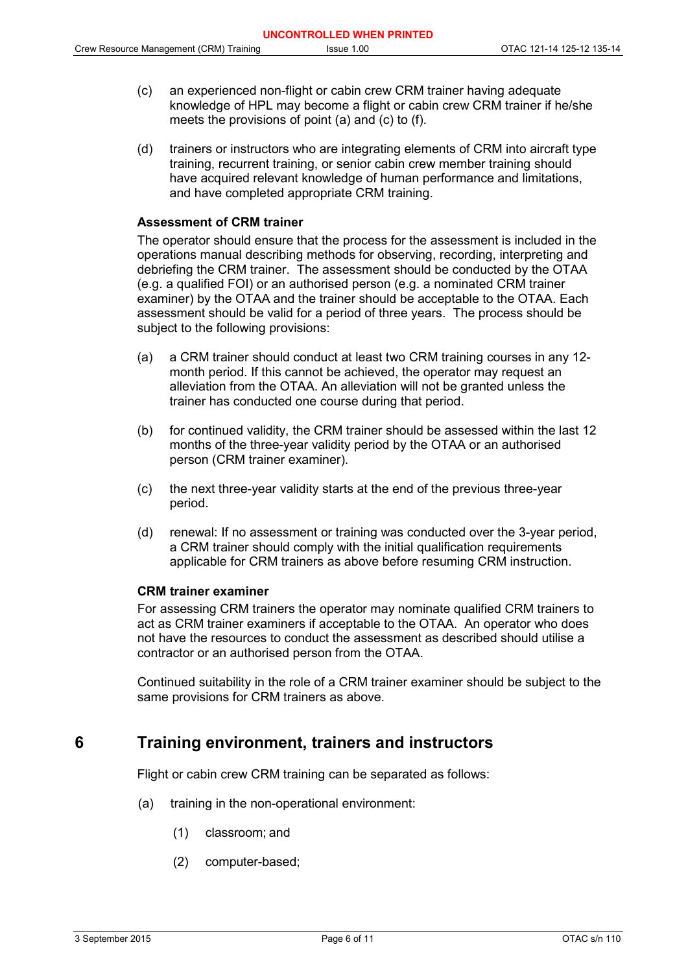- (c) an experienced non-flight or cabin crew CRM trainer having adequate knowledge of HPL may become a flight or cabin crew CRM trainer if he/she meets the provisions of point (a) and (c) to (f).
- (d) trainers or instructors who are integrating elements of CRM into aircraft type training, recurrent training, or senior cabin crew member training should have acquired relevant knowledge of human performance and limitations, and have completed appropriate CRM training.

### **Assessment of CRM trainer**

The operator should ensure that the process for the assessment is included in the operations manual describing methods for observing, recording, interpreting and debriefing the CRM trainer. The assessment should be conducted by the OTAA (e.g. a qualified FOI) or an authorised person (e.g. a nominated CRM trainer examiner) by the OTAA and the trainer should be acceptable to the OTAA. Each assessment should be valid for a period of three years. The process should be subject to the following provisions:

- (a) a CRM trainer should conduct at least two CRM training courses in any 12 month period. If this cannot be achieved, the operator may request an alleviation from the OTAA. An alleviation will not be granted unless the trainer has conducted one course during that period.
- (b) for continued validity, the CRM trainer should be assessed within the last 12 months of the three-year validity period by the OTAA or an authorised person (CRM trainer examiner).
- (c) the next three-year validity starts at the end of the previous three-year period.
- (d) renewal: If no assessment or training was conducted over the 3-year period, a CRM trainer should comply with the initial qualification requirements applicable for CRM trainers as above before resuming CRM instruction.

### **CRM trainer examiner**

For assessing CRM trainers the operator may nominate qualified CRM trainers to act as CRM trainer examiners if acceptable to the OTAA. An operator who does not have the resources to conduct the assessment as described should utilise a contractor or an authorised person from the OTAA.

Continued suitability in the role of a CRM trainer examiner should be subject to the same provisions for CRM trainers as above.

### **6 Training environment, trainers and instructors**

Flight or cabin crew CRM training can be separated as follows:

- (a) training in the non-operational environment:
	- (1) classroom; and
	- (2) computer-based;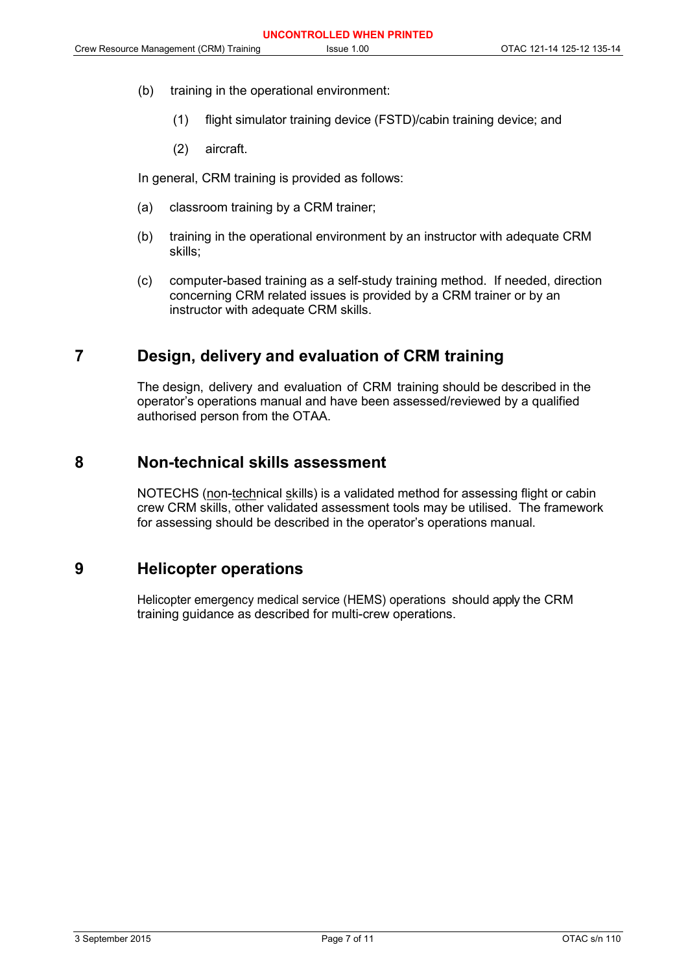- (b) training in the operational environment:
	- (1) flight simulator training device (FSTD)/cabin training device; and
	- (2) aircraft.

In general, CRM training is provided as follows:

- (a) classroom training by a CRM trainer;
- (b) training in the operational environment by an instructor with adequate CRM skills;
- (c) computer-based training as a self-study training method. If needed, direction concerning CRM related issues is provided by a CRM trainer or by an instructor with adequate CRM skills.

### **7 Design, delivery and evaluation of CRM training**

The design, delivery and evaluation of CRM training should be described in the operator's operations manual and have been assessed/reviewed by a qualified authorised person from the OTAA.

### **8 Non-technical skills assessment**

NOTECHS (non-technical skills) is a validated method for assessing flight or cabin crew CRM skills, other validated assessment tools may be utilised. The framework for assessing should be described in the operator's operations manual.

### **9 Helicopter operations**

Helicopter emergency medical service (HEMS) operations should apply the CRM training guidance as described for multi-crew operations.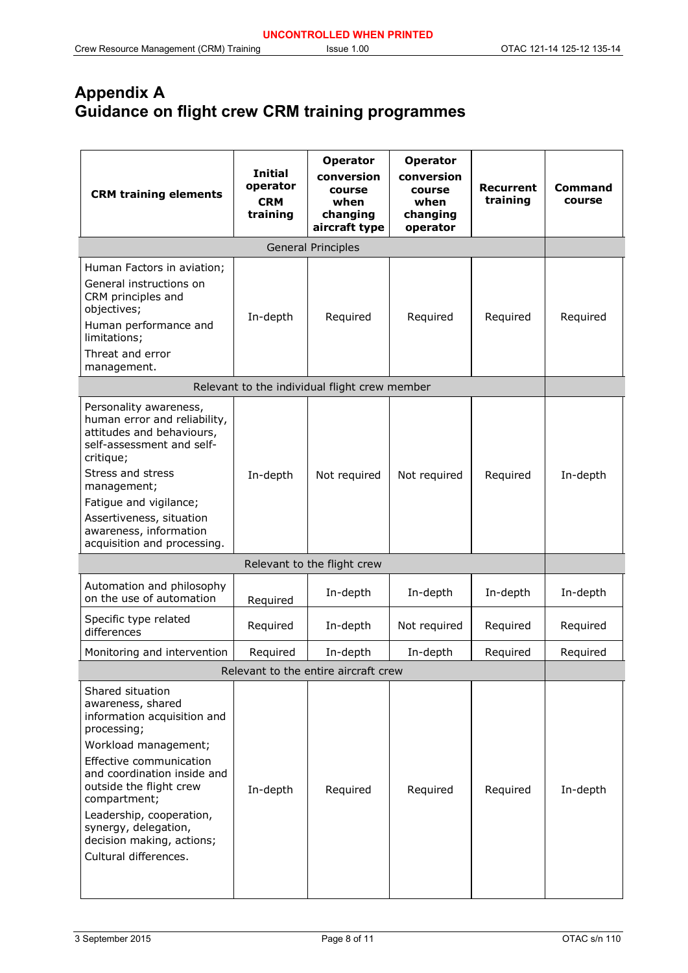## **Appendix A Guidance on flight crew CRM training programmes**

| <b>CRM training elements</b>                                                                                                                                                                                                                                                                                               | <b>Initial</b><br>operator<br><b>CRM</b><br>training | <b>Operator</b><br>conversion<br>course<br>when<br>changing<br>aircraft type | <b>Operator</b><br>conversion<br>course<br>when<br>changing<br>operator | <b>Recurrent</b><br>training | Command<br>course |  |
|----------------------------------------------------------------------------------------------------------------------------------------------------------------------------------------------------------------------------------------------------------------------------------------------------------------------------|------------------------------------------------------|------------------------------------------------------------------------------|-------------------------------------------------------------------------|------------------------------|-------------------|--|
| General Principles                                                                                                                                                                                                                                                                                                         |                                                      |                                                                              |                                                                         |                              |                   |  |
| Human Factors in aviation;<br>General instructions on<br>CRM principles and<br>objectives;<br>Human performance and<br>limitations;<br>Threat and error<br>management.                                                                                                                                                     | In-depth                                             | Required                                                                     | Required                                                                | Required                     | Required          |  |
|                                                                                                                                                                                                                                                                                                                            |                                                      | Relevant to the individual flight crew member                                |                                                                         |                              |                   |  |
| Personality awareness,<br>human error and reliability,<br>attitudes and behaviours,<br>self-assessment and self-<br>critique;<br>Stress and stress<br>management;<br>Fatigue and vigilance;<br>Assertiveness, situation<br>awareness, information<br>acquisition and processing.                                           | In-depth                                             | Not required                                                                 | Not required                                                            | Required                     | In-depth          |  |
| Relevant to the flight crew                                                                                                                                                                                                                                                                                                |                                                      |                                                                              |                                                                         |                              |                   |  |
| Automation and philosophy<br>on the use of automation                                                                                                                                                                                                                                                                      | Required                                             | In-depth                                                                     | In-depth                                                                | In-depth                     | In-depth          |  |
| Specific type related<br>differences                                                                                                                                                                                                                                                                                       | Required                                             | In-depth                                                                     | Not required                                                            | Required                     | Required          |  |
| Monitoring and intervention                                                                                                                                                                                                                                                                                                | Required                                             | In-depth                                                                     | In-depth                                                                | Required                     | Required          |  |
|                                                                                                                                                                                                                                                                                                                            |                                                      | Relevant to the entire aircraft crew                                         |                                                                         |                              |                   |  |
| Shared situation<br>awareness, shared<br>information acquisition and<br>processing;<br>Workload management;<br>Effective communication<br>and coordination inside and<br>outside the flight crew<br>compartment;<br>Leadership, cooperation,<br>synergy, delegation,<br>decision making, actions;<br>Cultural differences. | In-depth                                             | Required                                                                     | Required                                                                | Required                     | In-depth          |  |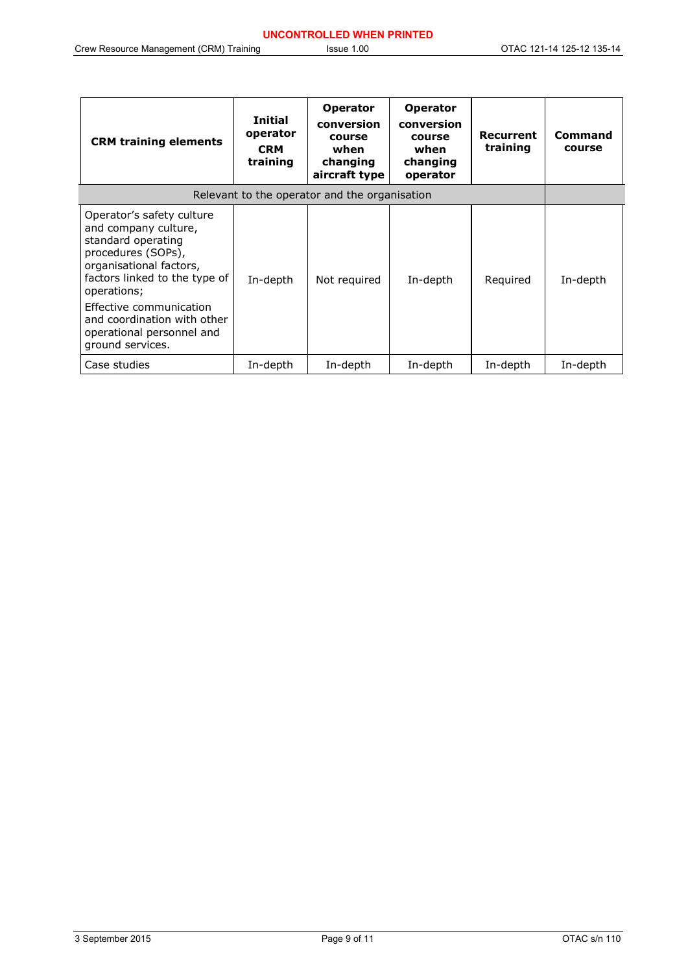| <b>CRM training elements</b>                                                                                                                                                                                                                                                        | <b>Initial</b><br>operator<br><b>CRM</b><br>training | <b>Operator</b><br>conversion<br>course<br>when<br>changing<br>aircraft type | <b>Operator</b><br>conversion<br>course<br>when<br>changing<br>operator | Recurrent<br>training | Command<br>course |  |
|-------------------------------------------------------------------------------------------------------------------------------------------------------------------------------------------------------------------------------------------------------------------------------------|------------------------------------------------------|------------------------------------------------------------------------------|-------------------------------------------------------------------------|-----------------------|-------------------|--|
| Relevant to the operator and the organisation                                                                                                                                                                                                                                       |                                                      |                                                                              |                                                                         |                       |                   |  |
| Operator's safety culture<br>and company culture,<br>standard operating<br>procedures (SOPs),<br>organisational factors,<br>factors linked to the type of<br>operations;<br>Effective communication<br>and coordination with other<br>operational personnel and<br>ground services. | In-depth                                             | Not required                                                                 | In-depth                                                                | Required              | In-depth          |  |
| Case studies                                                                                                                                                                                                                                                                        | In-depth                                             | In-depth                                                                     | In-depth                                                                | In-depth              | In-depth          |  |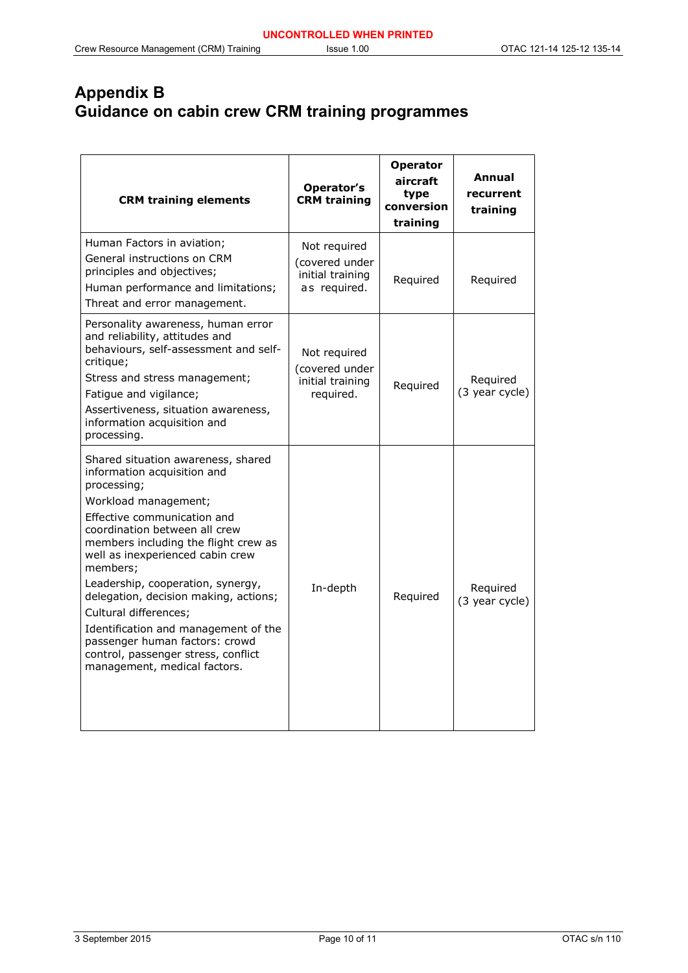# **Appendix B Guidance on cabin crew CRM training programmes**

| <b>CRM training elements</b>                                                                                                                                                                                                                                                                                                                                                                                                                                                                                             | Operator's<br><b>CRM</b> training                                  | <b>Operator</b><br>aircraft<br>type<br>conversion<br>training | Annual<br>recurrent<br>training |
|--------------------------------------------------------------------------------------------------------------------------------------------------------------------------------------------------------------------------------------------------------------------------------------------------------------------------------------------------------------------------------------------------------------------------------------------------------------------------------------------------------------------------|--------------------------------------------------------------------|---------------------------------------------------------------|---------------------------------|
| Human Factors in aviation;<br>General instructions on CRM<br>principles and objectives;<br>Human performance and limitations;<br>Threat and error management.                                                                                                                                                                                                                                                                                                                                                            | Not required<br>(covered under<br>initial training<br>as required. | Required                                                      | Required                        |
| Personality awareness, human error<br>and reliability, attitudes and<br>behaviours, self-assessment and self-<br>critique;<br>Stress and stress management;<br>Fatigue and vigilance;<br>Assertiveness, situation awareness,<br>information acquisition and<br>processing.                                                                                                                                                                                                                                               | Not required<br>(covered under<br>initial training<br>required.    | Required                                                      | Required<br>(3 year cycle)      |
| Shared situation awareness, shared<br>information acquisition and<br>processing;<br>Workload management;<br>Effective communication and<br>coordination between all crew<br>members including the flight crew as<br>well as inexperienced cabin crew<br>members;<br>Leadership, cooperation, synergy,<br>delegation, decision making, actions;<br>Cultural differences;<br>Identification and management of the<br>passenger human factors: crowd<br>control, passenger stress, conflict<br>management, medical factors. | In-depth                                                           | Required                                                      | Required<br>(3 year cycle)      |